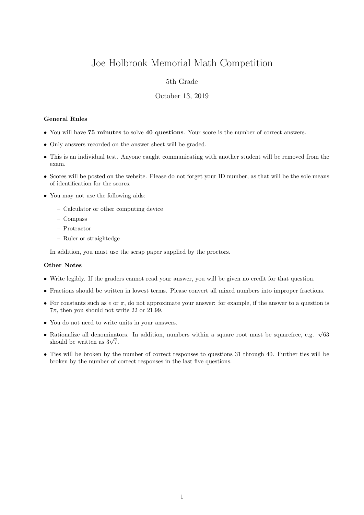# Joe Holbrook Memorial Math Competition

## 5th Grade

#### October 13, 2019

#### General Rules

- You will have 75 minutes to solve 40 questions. Your score is the number of correct answers.
- Only answers recorded on the answer sheet will be graded.
- This is an individual test. Anyone caught communicating with another student will be removed from the exam.
- Scores will be posted on the website. Please do not forget your ID number, as that will be the sole means of identification for the scores.
- You may not use the following aids:
	- Calculator or other computing device
	- Compass
	- Protractor
	- Ruler or straightedge

In addition, you must use the scrap paper supplied by the proctors.

### Other Notes

- Write legibly. If the graders cannot read your answer, you will be given no credit for that question.
- Fractions should be written in lowest terms. Please convert all mixed numbers into improper fractions.
- For constants such as  $e$  or  $\pi$ , do not approximate your answer: for example, if the answer to a question is  $7\pi$ , then you should not write 22 or 21.99.
- You do not need to write units in your answers.
- Rationalize all denominators. In addition, numbers within a square root must be squarefree, e.g.  $\sqrt{63}$ Rationalize all denominat<br>should be written as  $3\sqrt{7}$ .
- Ties will be broken by the number of correct responses to questions 31 through 40. Further ties will be broken by the number of correct responses in the last five questions.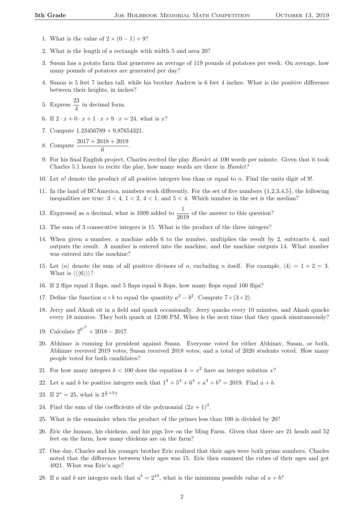- 1. What is the value of  $2 \times (0-1) + 9$ ?
- 2. What is the length of a rectangle with width 5 and area 20?
- 3. Susan has a potato farm that generates an average of 119 pounds of potatoes per week. On average, how many pounds of potatoes are generated per day?
- 4. Simon is 5 feet 7 inches tall, while his brother Andrew is 6 feet 4 inches. What is the positive difference between their heights, in inches?
- 5. Express  $\frac{23}{4}$  in decimal form.
- 6. If  $2 \cdot x + 0 \cdot x + 1 \cdot x + 9 \cdot x = 24$ , what is x?
- 7. Compute 1.23456789 + 9.87654321.
- 8. Compute  $\frac{2017 + 2018 + 2019}{6}$ .
- 9. For his final English project, Charles recited the play Hamlet at 100 words per minute. Given that it took Charles 5.1 hours to recite the play, how many words are there in Hamlet?
- 10. Let n! denote the product of all positive integers less than or equal to n. Find the units digit of 9!.
- 11. In the land of BCAmerica, numbers work differently. For the set of five numbers {1,2,3,4,5}, the following inequalities are true:  $3 < 4$ ,  $1 < 2$ ,  $4 < 1$ , and  $5 < 4$ . Which number in the set is the median?

12. Expressed as a decimal, what is 1009 added to  $\frac{1}{2019}$  of the answer to this question?

- 13. The sum of 3 consecutive integers is 15. What is the product of the three integers?
- 14. When given a number, a machine adds 6 to the number, multiplies the result by 2, subtracts 4, and outputs the result. A number is entered into the machine, and the machine outputs 14. What number was entered into the machine?
- 15. Let  $\langle n \rangle$  denote the sum of all positive divisors of n, excluding n itself. For example,  $\langle 4 \rangle = 1 + 2 = 3$ . What is  $\langle \langle \langle 6 \rangle \rangle \rangle$ ?
- 16. If 2 flips equal 3 flaps, and 5 flaps equal 6 flops, how many flops equal 100 flips?
- 17. Define the function  $a \circ b$  to equal the quantity  $a^2 b^2$ . Compute 7 ° (3 ° 2).
- 18. Jerry and Akash sit in a field and quack occasionally. Jerry quacks every 10 minutes, and Akash quacks every 18 minutes. They both quack at 12:00 PM. When is the next time that they quack simutaneously?
- 19. Calculate  $2^{0^{1^9}} \times 2018 2017$ .
- 20. Abhinav is running for president against Susan. Everyone voted for either Abhinav, Susan, or both. Abhinav received 2019 votes, Susan received 2018 votes, and a total of 2020 students voted. How many people voted for both candidates?
- 21. For how many integers  $k < 100$  does the equation  $k = x^2$  have an integer solution x?
- 22. Let a and b be positive integers such that  $1^4 + 5^4 + 6^4 + a^4 + b^4 = 2019$ . Find  $a + b$ .
- 23. If  $2^x = 25$ , what is  $2^{\frac{x}{2}+3}$ ?
- 24. Find the sum of the coefficients of the polynomial  $(2x+1)^3$ .
- 25. What is the remainder when the product of the primes less than 100 is divided by 20?
- 26. Eric the human, his chickens, and his pigs live on the Ming Farm. Given that there are 21 heads and 52 feet on the farm, how many chickens are on the farm?
- 27. One day, Charles and his younger brother Eric realized that their ages were both prime numbers. Charles noted that the difference between their ages was 15. Eric then summed the cubes of their ages and got 4921. What was Eric's age?
- 28. If a and b are integers such that  $a^b = 2^{14}$ , what is the minimum possible value of  $a + b$ ?